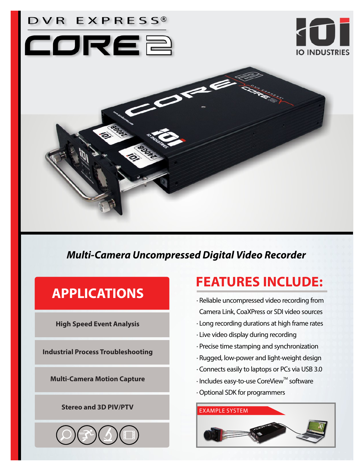

# *Multi-Camera Uncompressed Digital Video Recorder*

# **APPLICATIONS**

**High Speed Event Analysis**

**Industrial Process Troubleshooting**

**Multi-Camera Motion Capture**

## **Stereo and 3D PIV/PTV**



# **FEATURES INCLUDE:**

- · Reliable uncompressed video recording from Camera Link, CoaXPress or SDI video sources
- · Long recording durations at high frame rates
- · Live video display during recording
- · Precise time stamping and synchronization
- · Rugged, low-power and light-weight design
- · Connects easily to laptops or PCs via USB 3.0
- $\cdot$  Includes easy-to-use CoreView $^{\text{\tiny{\textsf{TM}}}}$  software · Optional SDK for programmers